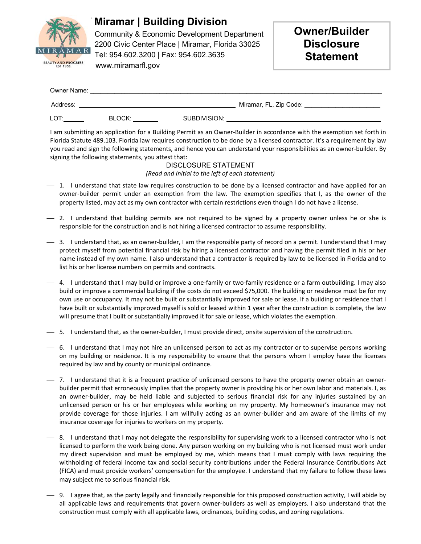

### **Miramar | Building Division**

 Community & Economic Development Department 2200 Civic Center Place | Miramar, Florida 33025 Tel: 954.602.3200 | Fax: 954.602.3635

# **Owner/Builder Disclosure Statement**

| Owner Name: |        |              |                        |
|-------------|--------|--------------|------------------------|
| Address:    |        |              | Miramar, FL, Zip Code: |
| LOT:        | BLOCK: | SUBDIVISION: |                        |

I am submitting an application for a Building Permit as an Owner‐Builder in accordance with the exemption set forth in Florida Statute 489.103. Florida law requires construction to be done by a licensed contractor. It's a requirement by law you read and sign the following statements, and hence you can understand your responsibilities as an owner‐builder. By signing the following statements, you attest that:

#### DISCLOSURE STATEMENT *(Read and Initial to the left of each statement)*

- $-$  1. I understand that state law requires construction to be done by a licensed contractor and have applied for an owner-builder permit under an exemption from the law. The exemption specifies that I, as the owner of the property listed, may act as my own contractor with certain restrictions even though I do not have a license.
- $-$  2. I understand that building permits are not required to be signed by a property owner unless he or she is responsible for the construction and is not hiring a licensed contractor to assume responsibility.
- 3. I understand that, as an owner‐builder, I am the responsible party of record on a permit. I understand that I may protect myself from potential financial risk by hiring a licensed contractor and having the permit filed in his or her name instead of my own name. I also understand that a contractor is required by law to be licensed in Florida and to list his or her license numbers on permits and contracts.
- 4. I understand that I may build or improve a one‐family or two‐family residence or a farm outbuilding. I may also build or improve a commercial building if the costs do not exceed \$75,000. The building or residence must be for my own use or occupancy. It may not be built or substantially improved for sale or lease. If a building or residence that I have built or substantially improved myself is sold or leased within 1 year after the construction is complete, the law will presume that I built or substantially improved it for sale or lease, which violates the exemption.
- 5. I understand that, as the owner‐builder, I must provide direct, onsite supervision of the construction.
- 6. I understand that I may not hire an unlicensed person to act as my contractor or to supervise persons working on my building or residence. It is my responsibility to ensure that the persons whom I employ have the licenses required by law and by county or municipal ordinance.
- 7. I understand that it is a frequent practice of unlicensed persons to have the property owner obtain an owner‐ builder permit that erroneously implies that the property owner is providing his or her own labor and materials. I, as an owner-builder, may be held liable and subjected to serious financial risk for any injuries sustained by an unlicensed person or his or her employees while working on my property. My homeowner's insurance may not provide coverage for those injuries. I am willfully acting as an owner-builder and am aware of the limits of my insurance coverage for injuries to workers on my property.
- $-$  8. I understand that I may not delegate the responsibility for supervising work to a licensed contractor who is not licensed to perform the work being done. Any person working on my building who is not licensed must work under my direct supervision and must be employed by me, which means that I must comply with laws requiring the withholding of federal income tax and social security contributions under the Federal Insurance Contributions Act (FICA) and must provide workers' compensation for the employee. I understand that my failure to follow these laws may subject me to serious financial risk.
- 9. I agree that, as the party legally and financially responsible for this proposed construction activity, I will abide by all applicable laws and requirements that govern owner-builders as well as employers. I also understand that the construction must comply with all applicable laws, ordinances, building codes, and zoning regulations.